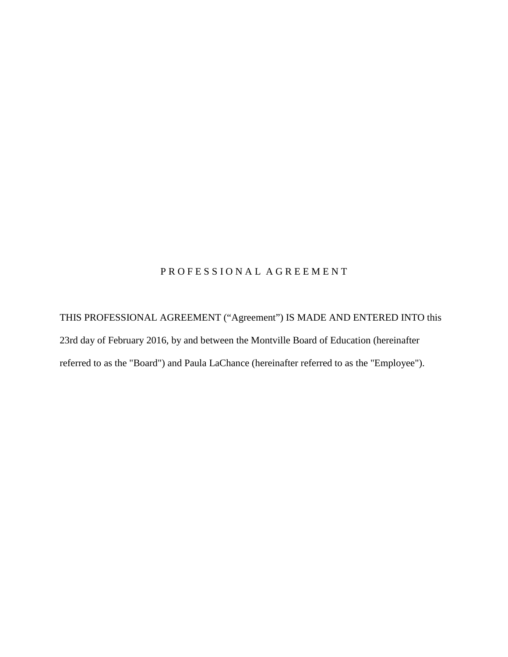# PROFESSIONAL AGREEMENT

THIS PROFESSIONAL AGREEMENT ("Agreement") IS MADE AND ENTERED INTO this 23rd day of February 2016, by and between the Montville Board of Education (hereinafter referred to as the "Board") and Paula LaChance (hereinafter referred to as the "Employee").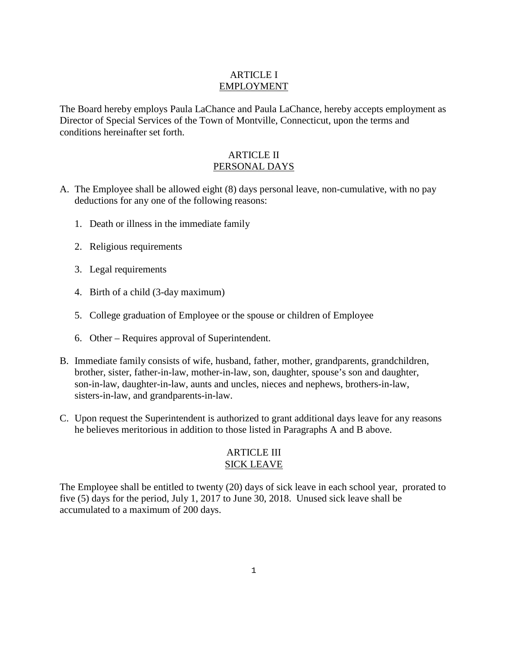## ARTICLE I EMPLOYMENT

The Board hereby employs Paula LaChance and Paula LaChance, hereby accepts employment as Director of Special Services of the Town of Montville, Connecticut, upon the terms and conditions hereinafter set forth.

#### ARTICLE II PERSONAL DAYS

- A. The Employee shall be allowed eight (8) days personal leave, non-cumulative, with no pay deductions for any one of the following reasons:
	- 1. Death or illness in the immediate family
	- 2. Religious requirements
	- 3. Legal requirements
	- 4. Birth of a child (3-day maximum)
	- 5. College graduation of Employee or the spouse or children of Employee
	- 6. Other Requires approval of Superintendent.
- B. Immediate family consists of wife, husband, father, mother, grandparents, grandchildren, brother, sister, father-in-law, mother-in-law, son, daughter, spouse's son and daughter, son-in-law, daughter-in-law, aunts and uncles, nieces and nephews, brothers-in-law, sisters-in-law, and grandparents-in-law.
- C. Upon request the Superintendent is authorized to grant additional days leave for any reasons he believes meritorious in addition to those listed in Paragraphs A and B above.

#### ARTICLE III SICK LEAVE

The Employee shall be entitled to twenty (20) days of sick leave in each school year, prorated to five (5) days for the period, July 1, 2017 to June 30, 2018. Unused sick leave shall be accumulated to a maximum of 200 days.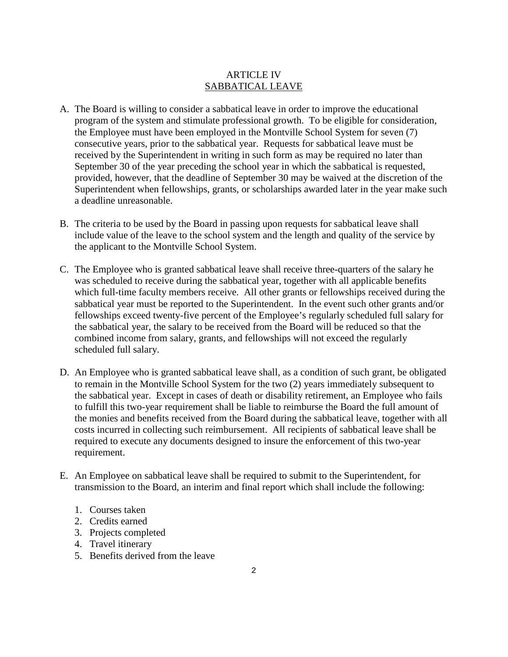## ARTICLE IV SABBATICAL LEAVE

- A. The Board is willing to consider a sabbatical leave in order to improve the educational program of the system and stimulate professional growth. To be eligible for consideration, the Employee must have been employed in the Montville School System for seven (7) consecutive years, prior to the sabbatical year. Requests for sabbatical leave must be received by the Superintendent in writing in such form as may be required no later than September 30 of the year preceding the school year in which the sabbatical is requested, provided, however, that the deadline of September 30 may be waived at the discretion of the Superintendent when fellowships, grants, or scholarships awarded later in the year make such a deadline unreasonable.
- B. The criteria to be used by the Board in passing upon requests for sabbatical leave shall include value of the leave to the school system and the length and quality of the service by the applicant to the Montville School System.
- C. The Employee who is granted sabbatical leave shall receive three-quarters of the salary he was scheduled to receive during the sabbatical year, together with all applicable benefits which full-time faculty members receive. All other grants or fellowships received during the sabbatical year must be reported to the Superintendent. In the event such other grants and/or fellowships exceed twenty-five percent of the Employee's regularly scheduled full salary for the sabbatical year, the salary to be received from the Board will be reduced so that the combined income from salary, grants, and fellowships will not exceed the regularly scheduled full salary.
- D. An Employee who is granted sabbatical leave shall, as a condition of such grant, be obligated to remain in the Montville School System for the two (2) years immediately subsequent to the sabbatical year. Except in cases of death or disability retirement, an Employee who fails to fulfill this two-year requirement shall be liable to reimburse the Board the full amount of the monies and benefits received from the Board during the sabbatical leave, together with all costs incurred in collecting such reimbursement. All recipients of sabbatical leave shall be required to execute any documents designed to insure the enforcement of this two-year requirement.
- E. An Employee on sabbatical leave shall be required to submit to the Superintendent, for transmission to the Board, an interim and final report which shall include the following:
	- 1. Courses taken
	- 2. Credits earned
	- 3. Projects completed
	- 4. Travel itinerary
	- 5. Benefits derived from the leave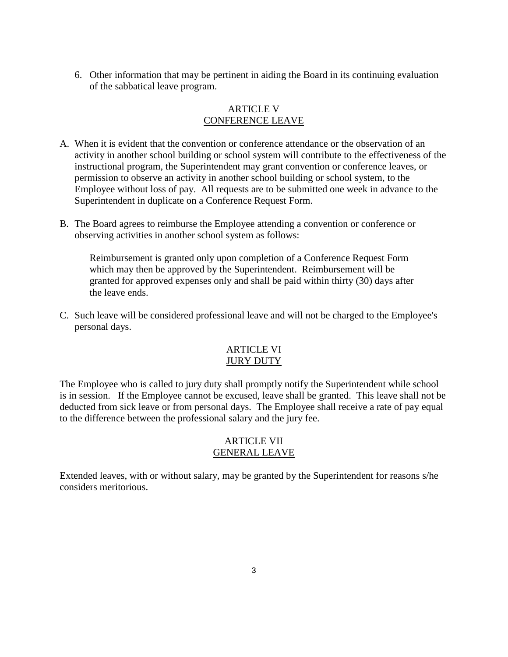6. Other information that may be pertinent in aiding the Board in its continuing evaluation of the sabbatical leave program.

#### ARTICLE V CONFERENCE LEAVE

- A. When it is evident that the convention or conference attendance or the observation of an activity in another school building or school system will contribute to the effectiveness of the instructional program, the Superintendent may grant convention or conference leaves, or permission to observe an activity in another school building or school system, to the Employee without loss of pay. All requests are to be submitted one week in advance to the Superintendent in duplicate on a Conference Request Form.
- B. The Board agrees to reimburse the Employee attending a convention or conference or observing activities in another school system as follows:

Reimbursement is granted only upon completion of a Conference Request Form which may then be approved by the Superintendent. Reimbursement will be granted for approved expenses only and shall be paid within thirty (30) days after the leave ends.

C. Such leave will be considered professional leave and will not be charged to the Employee's personal days.

#### ARTICLE VI JURY DUTY

The Employee who is called to jury duty shall promptly notify the Superintendent while school is in session. If the Employee cannot be excused, leave shall be granted. This leave shall not be deducted from sick leave or from personal days. The Employee shall receive a rate of pay equal to the difference between the professional salary and the jury fee.

## ARTICLE VII GENERAL LEAVE

Extended leaves, with or without salary, may be granted by the Superintendent for reasons s/he considers meritorious.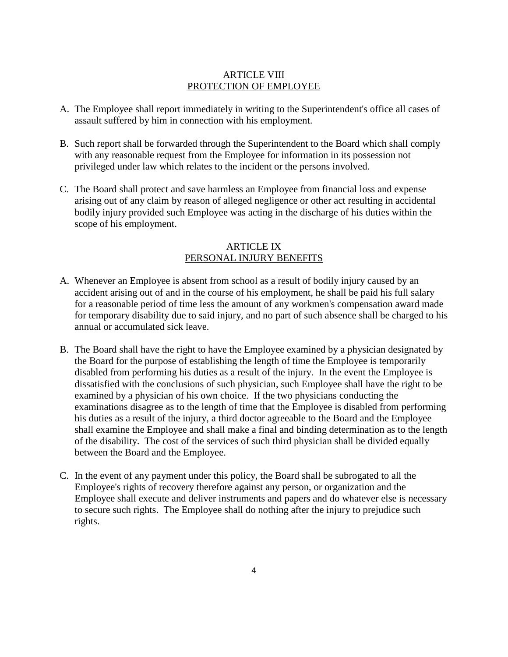#### ARTICLE VIII PROTECTION OF EMPLOYEE

- A. The Employee shall report immediately in writing to the Superintendent's office all cases of assault suffered by him in connection with his employment.
- B. Such report shall be forwarded through the Superintendent to the Board which shall comply with any reasonable request from the Employee for information in its possession not privileged under law which relates to the incident or the persons involved.
- C. The Board shall protect and save harmless an Employee from financial loss and expense arising out of any claim by reason of alleged negligence or other act resulting in accidental bodily injury provided such Employee was acting in the discharge of his duties within the scope of his employment.

#### ARTICLE IX PERSONAL INJURY BENEFITS

- A. Whenever an Employee is absent from school as a result of bodily injury caused by an accident arising out of and in the course of his employment, he shall be paid his full salary for a reasonable period of time less the amount of any workmen's compensation award made for temporary disability due to said injury, and no part of such absence shall be charged to his annual or accumulated sick leave.
- B. The Board shall have the right to have the Employee examined by a physician designated by the Board for the purpose of establishing the length of time the Employee is temporarily disabled from performing his duties as a result of the injury. In the event the Employee is dissatisfied with the conclusions of such physician, such Employee shall have the right to be examined by a physician of his own choice. If the two physicians conducting the examinations disagree as to the length of time that the Employee is disabled from performing his duties as a result of the injury, a third doctor agreeable to the Board and the Employee shall examine the Employee and shall make a final and binding determination as to the length of the disability. The cost of the services of such third physician shall be divided equally between the Board and the Employee.
- C. In the event of any payment under this policy, the Board shall be subrogated to all the Employee's rights of recovery therefore against any person, or organization and the Employee shall execute and deliver instruments and papers and do whatever else is necessary to secure such rights. The Employee shall do nothing after the injury to prejudice such rights.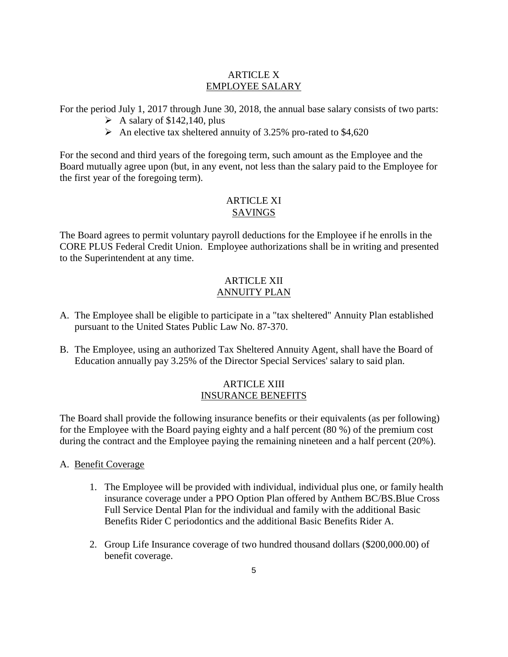#### ARTICLE X EMPLOYEE SALARY

For the period July 1, 2017 through June 30, 2018, the annual base salary consists of two parts:

- $\triangleright$  A salary of \$142,140, plus
- $\blacktriangleright$  An elective tax sheltered annuity of 3.25% pro-rated to \$4,620

For the second and third years of the foregoing term, such amount as the Employee and the Board mutually agree upon (but, in any event, not less than the salary paid to the Employee for the first year of the foregoing term).

## ARTICLE XI SAVINGS

The Board agrees to permit voluntary payroll deductions for the Employee if he enrolls in the CORE PLUS Federal Credit Union. Employee authorizations shall be in writing and presented to the Superintendent at any time.

# ARTICLE XII ANNUITY PLAN

- A. The Employee shall be eligible to participate in a "tax sheltered" Annuity Plan established pursuant to the United States Public Law No. 87-370.
- B. The Employee, using an authorized Tax Sheltered Annuity Agent, shall have the Board of Education annually pay 3.25% of the Director Special Services' salary to said plan.

## ARTICLE XIII INSURANCE BENEFITS

The Board shall provide the following insurance benefits or their equivalents (as per following) for the Employee with the Board paying eighty and a half percent (80 %) of the premium cost during the contract and the Employee paying the remaining nineteen and a half percent (20%).

- A. Benefit Coverage
	- 1. The Employee will be provided with individual, individual plus one, or family health insurance coverage under a PPO Option Plan offered by Anthem BC/BS.Blue Cross Full Service Dental Plan for the individual and family with the additional Basic Benefits Rider C periodontics and the additional Basic Benefits Rider A.
	- 2. Group Life Insurance coverage of two hundred thousand dollars (\$200,000.00) of benefit coverage.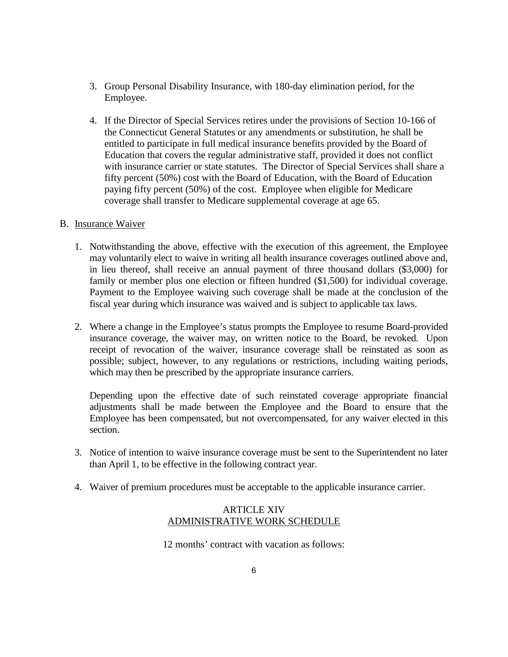- 3. Group Personal Disability Insurance, with 180-day elimination period, for the Employee.
- 4. If the Director of Special Services retires under the provisions of Section 10-166 of the Connecticut General Statutes or any amendments or substitution, he shall be entitled to participate in full medical insurance benefits provided by the Board of Education that covers the regular administrative staff, provided it does not conflict with insurance carrier or state statutes. The Director of Special Services shall share a fifty percent (50%) cost with the Board of Education, with the Board of Education paying fifty percent (50%) of the cost. Employee when eligible for Medicare coverage shall transfer to Medicare supplemental coverage at age 65.

#### B. Insurance Waiver

- 1. Notwithstanding the above, effective with the execution of this agreement, the Employee may voluntarily elect to waive in writing all health insurance coverages outlined above and, in lieu thereof, shall receive an annual payment of three thousand dollars (\$3,000) for family or member plus one election or fifteen hundred (\$1,500) for individual coverage. Payment to the Employee waiving such coverage shall be made at the conclusion of the fiscal year during which insurance was waived and is subject to applicable tax laws.
- 2. Where a change in the Employee's status prompts the Employee to resume Board-provided insurance coverage, the waiver may, on written notice to the Board, be revoked. Upon receipt of revocation of the waiver, insurance coverage shall be reinstated as soon as possible; subject, however, to any regulations or restrictions, including waiting periods, which may then be prescribed by the appropriate insurance carriers.

Depending upon the effective date of such reinstated coverage appropriate financial adjustments shall be made between the Employee and the Board to ensure that the Employee has been compensated, but not overcompensated, for any waiver elected in this section.

- 3. Notice of intention to waive insurance coverage must be sent to the Superintendent no later than April 1, to be effective in the following contract year.
- 4. Waiver of premium procedures must be acceptable to the applicable insurance carrier.

#### ARTICLE XIV ADMINISTRATIVE WORK SCHEDULE

12 months' contract with vacation as follows: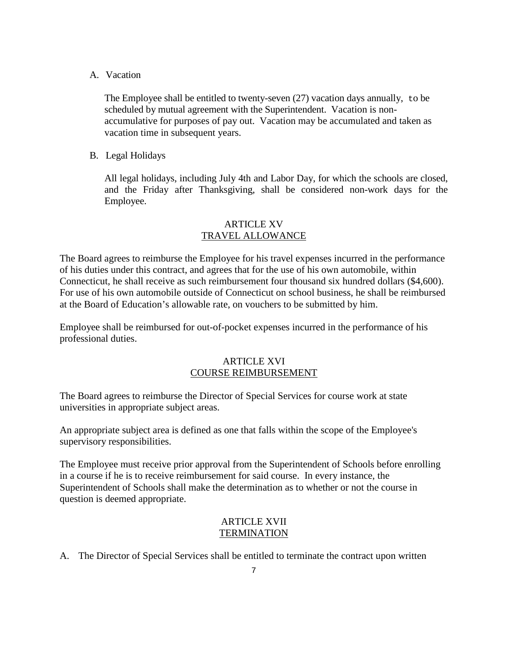A. Vacation

The Employee shall be entitled to twenty-seven  $(27)$  vacation days annually, to be scheduled by mutual agreement with the Superintendent. Vacation is nonaccumulative for purposes of pay out. Vacation may be accumulated and taken as vacation time in subsequent years.

B. Legal Holidays

All legal holidays, including July 4th and Labor Day, for which the schools are closed, and the Friday after Thanksgiving, shall be considered non-work days for the Employee.

#### ARTICLE XV TRAVEL ALLOWANCE

The Board agrees to reimburse the Employee for his travel expenses incurred in the performance of his duties under this contract, and agrees that for the use of his own automobile, within Connecticut, he shall receive as such reimbursement four thousand six hundred dollars (\$4,600). For use of his own automobile outside of Connecticut on school business, he shall be reimbursed at the Board of Education's allowable rate, on vouchers to be submitted by him.

Employee shall be reimbursed for out-of-pocket expenses incurred in the performance of his professional duties.

#### ARTICLE XVI COURSE REIMBURSEMENT

The Board agrees to reimburse the Director of Special Services for course work at state universities in appropriate subject areas.

An appropriate subject area is defined as one that falls within the scope of the Employee's supervisory responsibilities.

The Employee must receive prior approval from the Superintendent of Schools before enrolling in a course if he is to receive reimbursement for said course. In every instance, the Superintendent of Schools shall make the determination as to whether or not the course in question is deemed appropriate.

#### ARTICLE XVII **TERMINATION**

A. The Director of Special Services shall be entitled to terminate the contract upon written